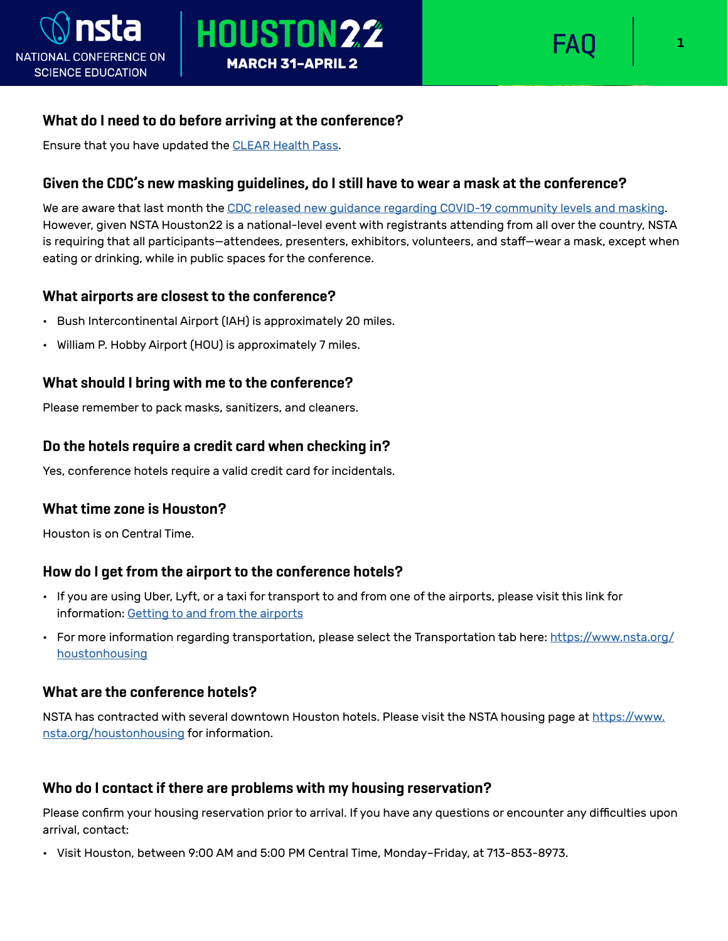

## **What do I need to do before arriving at the conference?**

Ensure that you have updated the [CLEAR Health Pass.](https://www.nsta.org/clear-health-pass)

## **Given the CDC's new masking guidelines, do I still have to wear a mask at the conference?**

We are aware that last month the [CDC released new guidance regarding COVID-19 community levels and masking](https://www.cdc.gov/coronavirus/2019-ncov/prevent-getting-sick/about-face-coverings.html). However, given NSTA Houston22 is a national-level event with registrants attending from all over the country, NSTA is requiring that all participants—attendees, presenters, exhibitors, volunteers, and staff—wear a mask, except when eating or drinking, while in public spaces for the conference.

## **What airports are closest to the conference?**

- Bush Intercontinental Airport (IAH) is approximately 20 miles.
- William P. Hobby Airport (HOU) is approximately 7 miles.

## **What should I bring with me to the conference?**

Please remember to pack masks, sanitizers, and cleaners.

## **Do the hotels require a credit card when checking in?**

Yes, conference hotels require a valid credit card for incidentals.

#### **What time zone is Houston?**

Houston is on Central Time.

## **How do I get from the airport to the conference hotels?**

- If you are using Uber, Lyft, or a taxi for transport to and from one of the airports, please visit this link for information: [Getting to and from the airports](https://www.visithoustontexas.com/travel-planning/getting-to-and-around-houston/airport-info/)
- For more information regarding transportation, please select the Transportation tab here: [https://www.nsta.org/](https://www.nsta.org/houstonhousing) [houstonhousing](https://www.nsta.org/houstonhousing)

#### **What are the conference hotels?**

NSTA has contracted with several downtown Houston hotels. Please visit the NSTA housing page at [https://www.](https://www.nsta.org/houstonhousing) [nsta.org/houstonhousing](https://www.nsta.org/houstonhousing) for information.

#### **Who do I contact if there are problems with my housing reservation?**

Please confirm your housing reservation prior to arrival. If you have any questions or encounter any difficulties upon arrival, contact:

• Visit Houston, between 9:00 AM and 5:00 PM Central Time, Monday–Friday, at 713-853-8973.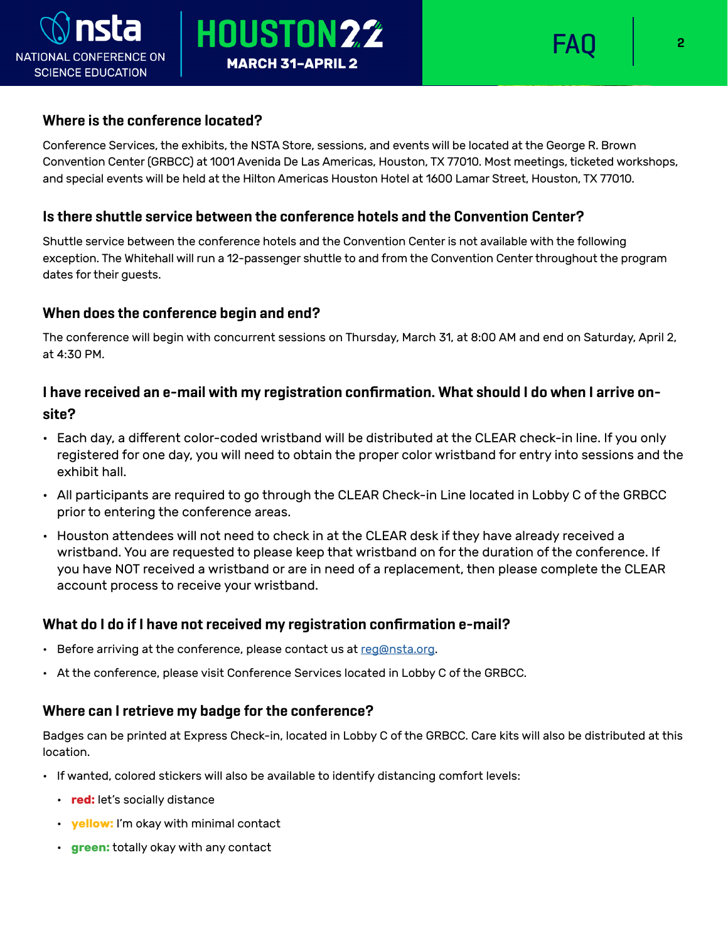

#### **Where is the conference located?**

NATIONAL CONFERENCE ON

**SCIENCE EDUCATION** 

Conference Services, the exhibits, the NSTA Store, sessions, and events will be located at the George R. Brown Convention Center (GRBCC) at 1001 Avenida De Las Americas, Houston, TX 77010. Most meetings, ticketed workshops, and special events will be held at the Hilton Americas Houston Hotel at 1600 Lamar Street, Houston, TX 77010.

#### **Is there shuttle service between the conference hotels and the Convention Center?**

Shuttle service between the conference hotels and the Convention Center is not available with the following exception. The Whitehall will run a 12-passenger shuttle to and from the Convention Center throughout the program dates for their guests.

#### **When does the conference begin and end?**

The conference will begin with concurrent sessions on Thursday, March 31, at 8:00 AM and end on Saturday, April 2, at 4:30 PM.

# **I have received an e-mail with my registration confirmation. What should I do when I arrive onsite?**

- Each day, a different color-coded wristband will be distributed at the CLEAR check-in line. If you only registered for one day, you will need to obtain the proper color wristband for entry into sessions and the exhibit hall.
- All participants are required to go through the CLEAR Check-in Line located in Lobby C of the GRBCC prior to entering the conference areas.
- Houston attendees will not need to check in at the CLEAR desk if they have already received a wristband. You are requested to please keep that wristband on for the duration of the conference. If you have NOT received a wristband or are in need of a replacement, then please complete the CLEAR account process to receive your wristband.

#### **What do I do if I have not received my registration confirmation e-mail?**

- Before arriving at the conference, please contact us at  $req@nsta.org$ .
- At the conference, please visit Conference Services located in Lobby C of the GRBCC.

#### **Where can I retrieve my badge for the conference?**

Badges can be printed at Express Check-in, located in Lobby C of the GRBCC. Care kits will also be distributed at this location.

- If wanted, colored stickers will also be available to identify distancing comfort levels:
	- **red:** let's socially distance
	- **yellow:** I'm okay with minimal contact
	- **green:** totally okay with any contact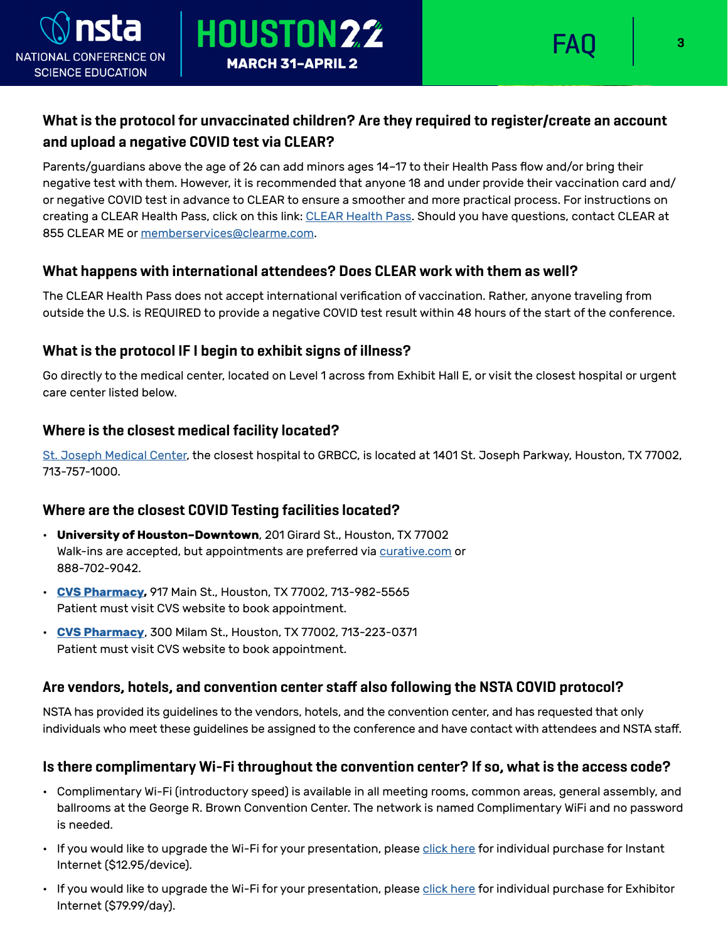

# **What is the protocol for unvaccinated children? Are they required to register/create an account and upload a negative COVID test via CLEAR?**

Parents/guardians above the age of 26 can add minors ages 14–17 to their Health Pass flow and/or bring their negative test with them. However, it is recommended that anyone 18 and under provide their vaccination card and/ or negative COVID test in advance to CLEAR to ensure a smoother and more practical process. For instructions on creating a [CLEAR Health Pass](https://www.nsta.org/clear-health-pass), click on this link: CLEAR Health Pass. Should you have questions, contact CLEAR at 855 CLEAR ME or [memberservices@clearme.com](mailto:memberservices@clearme.com).

## **What happens with international attendees? Does CLEAR work with them as well?**

HOUSTON22

**MARCH 31-APRIL 2** 

The CLEAR Health Pass does not accept international verification of vaccination. Rather, anyone traveling from outside the U.S. is REQUIRED to provide a negative COVID test result within 48 hours of the start of the conference.

## **What is the protocol IF I begin to exhibit signs of illness?**

Go directly to the medical center, located on Level 1 across from Exhibit Hall E, or visit the closest hospital or urgent care center listed below.

## **Where is the closest medical facility located?**

[St. Joseph Medical Center](https://www.sjmctx.org/), the closest hospital to GRBCC, is located at 1401 St. Joseph Parkway, Houston, TX 77002, 713-757-1000.

## **Where are the closest COVID Testing facilities located?**

- **University of Houston–Downtown**, 201 Girard St., Houston, TX 77002 Walk-ins are accepted, but appointments are preferred via [curative.com](https://curative.com/) or 888-702-9042.
- **[CVS Pharmacy,](http://www.cvs.com/minuteclinic/covid-19-testing)** 917 Main St., Houston, TX 77002, 713-982-5565 Patient must visit CVS website to book appointment.
- **[CVS Pharmacy](http://www.cvs.com/minuteclinic/covid-19-testing)**, 300 Milam St., Houston, TX 77002, 713-223-0371 Patient must visit CVS website to book appointment.

#### **Are vendors, hotels, and convention center staff also following the NSTA COVID protocol?**

NSTA has provided its guidelines to the vendors, hotels, and the convention center, and has requested that only individuals who meet these guidelines be assigned to the conference and have contact with attendees and NSTA staff.

#### **Is there complimentary Wi-Fi throughout the convention center? If so, what is the access code?**

- Complimentary Wi-Fi (introductory speed) is available in all meeting rooms, common areas, general assembly, and ballrooms at the George R. Brown Convention Center. The network is named Complimentary WiFi and no password is needed.
- If you would like to upgrade the Wi-Fi for your presentation, please [click here](https://static.nsta.org/pdfs/Instant Internet Instructions Houston.pdf) for individual purchase for Instant Internet (\$12.95/device).
- If you would like to upgrade the Wi-Fi for your presentation, please [click here](https://static.nsta.org/pdfs/Exhibitor Internet Instructions.pdf) for individual purchase for Exhibitor Internet (\$79.99/day).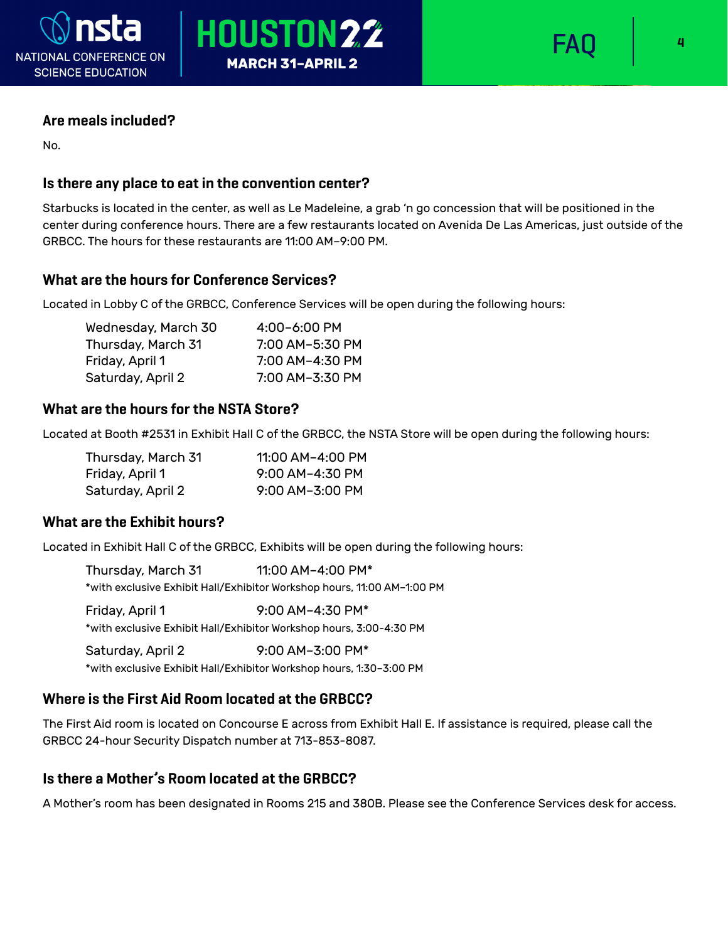

# HOUSTON22 **MARCH 31-APRIL 2**



#### **Are meals included?**

No.

## **Is there any place to eat in the convention center?**

Starbucks is located in the center, as well as Le Madeleine, a grab 'n go concession that will be positioned in the center during conference hours. There are a few restaurants located on Avenida De Las Americas, just outside of the GRBCC. The hours for these restaurants are 11:00 AM–9:00 PM.

## **What are the hours for Conference Services?**

Located in Lobby C of the GRBCC, Conference Services will be open during the following hours:

| Wednesday, March 30 | $4:00 - 6:00$ PM |
|---------------------|------------------|
| Thursday, March 31  | 7:00 AM-5:30 PM  |
| Friday, April 1     | 7:00 AM-4:30 PM  |
| Saturday, April 2   | 7:00 AM-3:30 PM  |

#### **What are the hours for the NSTA Store?**

Located at Booth #2531 in Exhibit Hall C of the GRBCC, the NSTA Store will be open during the following hours:

| Thursday, March 31 | 11:00 AM-4:00 PM  |
|--------------------|-------------------|
| Friday, April 1    | $9:00$ AM-4:30 PM |
| Saturday, April 2  | 9:00 AM-3:00 PM   |

#### **What are the Exhibit hours?**

Located in Exhibit Hall C of the GRBCC, Exhibits will be open during the following hours:

Thursday, March 31 11:00 AM-4:00 PM\* \*with exclusive Exhibit Hall/Exhibitor Workshop hours, 11:00 AM–1:00 PM Friday, April 1 9:00 AM–4:30 PM\* \*with exclusive Exhibit Hall/Exhibitor Workshop hours, 3:00-4:30 PM

Saturday, April 2 9:00 AM–3:00 PM\* \*with exclusive Exhibit Hall/Exhibitor Workshop hours, 1:30–3:00 PM

## **Where is the First Aid Room located at the GRBCC?**

The First Aid room is located on Concourse E across from Exhibit Hall E. If assistance is required, please call the GRBCC 24-hour Security Dispatch number at 713-853-8087.

## **Is there a Mother's Room located at the GRBCC?**

A Mother's room has been designated in Rooms 215 and 380B. Please see the Conference Services desk for access.